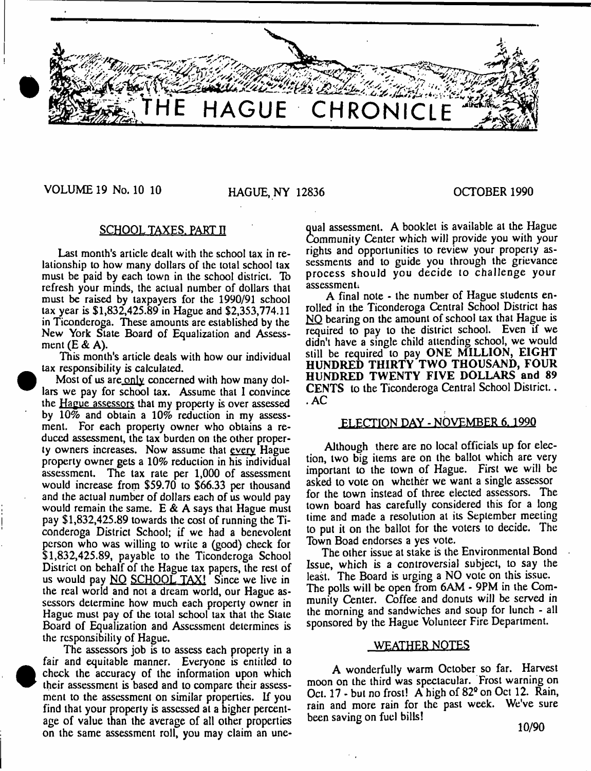

# VOLUME 19 No. 10 10 HAGUE, NY 12836 OCTOBER 1990

# SCHOOL TAXES, PART II

Last month's article dealt with the school tax in relationship to how many dollars of the total school tax must be paid by each town in the school district. To refresh your minds, the actual number of dollars that must be raised by taxpayers for the 1990/91 school tax year is \$1,832,425.89 in Hague and \$2,353,774.11 in Ticonderoga. These amounts are established by the New York State Board of Equalization and Assessment (E & A).

This month's article deals with how our individual tax responsibility is calculated.

Most of us are only concerned with how many dollars we pay for school tax. Assume that I convince the Hague assessors that my property is over assessed by 10% and obtain a 10% reduction in my assessment. For each property owner who obtains a reduced assessment, the lax burden on the other property owners increases. Now assume that every Hague property owner gels a 10% reduction in his individual assessment. The tax rate per 1,000 of assessment would increase from \$59.70 to \$66.33 per thousand and the actual number of dollars each of us would pay would remain the same. E *&* A says that Hague must pay \$1,832,425.89 towards the cost of running the Ticonderoga District School; if we had a benevolent person who was willing to write a (good) check for \$1,832,425.89, payable to the Ticonderoga School District on behalf of the Hague tax papers, the rest of us would pay NO SCHOOL TAX! Since we live in the real world and not a dream world, our Hague assessors determine how much each property owner in Hague must pay of the total school tax that the State Board of Equalization and Assessment determines is the responsibility of Hague.

The assessors job is to assess each property in a fair and equitable manner. Everyone is entitled to check the accuracy of the information upon which their assessment is based and to compare their assessment to the assessment on similar properties. If you find that your property is assessed at a higher percentage of value than the average of all other properties on the same assessment roll, you may claim an une-

 $\bullet$ 

qual assessment. A booklet is available at the Hague Community Center which will provide you with your rights and opportunities to review your property assessments and to guide you through the grievance process should you decide to challenge your assessment;

A final note - the number of Hague students enrolled in the Ticonderoga Central School District has NO bearing on the amount of school tax that Hague is required to pay to the district school. Even if we didn't have a single child attending school, we would still be required to pay ONE MILLION, EIGHT HUNDRED THIRTY TWO THOUSAND, FOUR HUNDRED TWENTY FIVE DOLLARS and 89 CENTS to the Ticonderoga Central School District.. .AC

# FLECTION DAY - NOVEMBER 6.1990

Although there are no local officials up for election, two big items are on the ballot which are very important to the town of Hague. First we will be asked to vote on whether we want a single assessor for the town instead of three elected assessors. The town board has carefully considered this for a long time and made a resolution at its September meeting to put it on the ballot for the voters to decide. The Town Boad endorses a yes vote.

The other issue at stake is the Environmental Bond Issue, which is a controversial subject, to say the least. The Board is urging a NO vote on this issue. The polls will be open from 6AM - 9PM in the Community Center. Coffee and donuts will be served in the morning and sandwiches and soup for lunch - all sponsored by the Hague Volunteer Fire Department.

# WEATHER NOTES

A wonderfully warm October so far. Harvest moon on the third was spectacular. Frost warning on Oct. 17 - but no frost! A high of 82° on Oct 12. Rain, rain and more rain for the past week. We've sure been saving on fuel bills!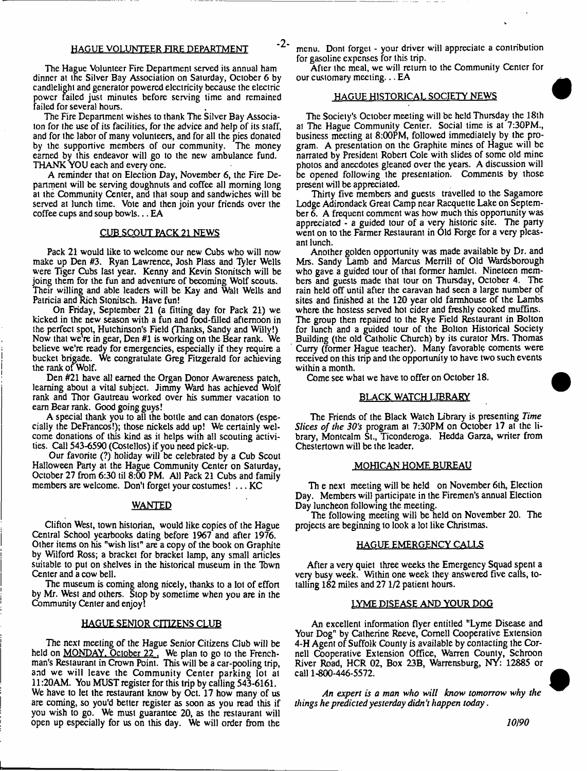#### HAGUE VOLUNTEER FIRE DEPARTMENT

The Hague Volunteer Fire Department served its annual ham dinner at the Silver Bay Association on Saiurday, October 6 by candlelight and generator powered electricity because the electric power failed just minutes before serving time and remained failed for several hours.

The Fire Department wishes to thank The Silver Bay Associaton for the use of its facilities, for the advice and help of its staff, and for the labor of many volunteers, and for all the pies donated by the supportive members of our community. The money earned by this endeavor will go to the new ambulance fund. THANK YOU each and every one.

A reminder that on Election Day, November 6, the Fire Department will be serving doughnuts and coffee all morning long at the Community Center, and thal soup and sandwiches will be served at lunch time. Vote and then join your friends over the coffee cups and soup bowls... EA

#### CUB SCOUT PACK 21 NEWS

Pack 21 would like to welcome our new Cubs who will now make up Den #3. Ryan Lawrence, Josh Plass and Tyier Wells were Tiger Cubs last year. Kenny and Kevin Stomtsch will be joing them for the fun and adventure of becoming Wolf scouts. Their willing and able leaders will be Kay and Walt Wells and Patricia and Rich Stonitsch. Have fun!

On Friday, September 21 (a fitting day for Pack 21) we kicked in the new season with a fun and food-filled afternoon in the perfect spot, Hutchinson's Field (Thanks, Sandy and Willy!) Now that we're in gear, Den #1 is working on the Bear rank. We believe we're ready for emergencies, especially if they require a bucket brigade. We congratulate Greg Fitzgerald for achieving the rank of Wolf.

Den #21 have all earned the Organ Donor Awareness patch, learning about a vital subject. Jimmy Ward has achieved Wolf rank and Thor Gaulreau worked over his summer vacation to earn Bear rank. Good going guys!

A special thank you to all the bottle and can donators (especially the DeFrancos!); those nickels add up! We certainly welcome donations of this kind as it helps with all scouting activities. Call 543-6590 (Costellos) if you need pick-up.

Our favorite (?) holiday will be celebrated by a Cub Scout Halloween Party at the Hague Community Center on Saturday, October 27 from 6:30 til 8:00 PM. All Pack 21 Cubs and family members are welcome. Don't forget your costumes! . . . KC

#### WANTED

Clifton West, town historian, would like copies of the Hague Central School yearbooks dating before 1967 and after 1976. Other items on his "wish list" are a copy of the book on Graphite by Wilford Ross; a bracket for bracket lamp, any small articles suitable to put on shelves in the historical museum in the Tbwn Center and a cow bell.

The museum is coming along nicely, thanks to a lot of effort by Mr. West and others. Stop by sometime when you are in the Community Center and enjoy!

#### HAGUE SENIOR CITIZENS CLUB

The next meeting of the Hague Senior Citizens Club will be held on **MONDAY**, October 22, We plan to go to the Frenchman's Restaurant in Crown Point. This will be a car-pooling trip, and we will leave the Community Center parking lot at 11:20AM. You MUST register for this trip by calling 543-6161. We have to let the restaurant know by Oct. 17 how many of us are coming, so you'd better register as soon as you read this if you wish to go. We must guarantee 20, as the restaurant will open up especially for us on this day. We will order from the

menu. Dont forget - your driver will appreciate a contribution for gasoline expenses for this trip.

After the meal, we will return to the Community Center for our customary meeting... EA

#### HAGUE HISTORICAL SOCIETY NEWS

The Society's October meeting will be held Thursday the 18th at The Hague Community Center. Social time is at 7:30PM., business meeting at 8:00PM, followed immediaiely by the program. A presentation on the Graphite mines of Hague will be narrated by President Robert Cole with slides of some old mine photos and anecdotes gleaned over the years. A discussion will be opened following the presentation. Comments by those present will be appreciated.

Thirty five members and guests travelled to the Sagamore Lodge Adirondack Great Camp near Racquette Lake on September 6. A frequent comment was how much this opportunity was appreciated - a guided tour of a very historic site. The party went on to the Farmer Restaurant in Old Forge for a very pleasant lunch.

Another golden opportunity was made available by Dr. and Mrs. Sandy Lamb and Marcus Merrill of Old Wardsborough who gave a guided tour of that former hamlet. Nineteen members and guests made that tour on Thursday, October 4. The rain held off until after the caravan had seen a large number of sites and finished at the 120 year old farmhouse of the Lambs where the hostess served hot cider and freshly cooked muffins. The group then repaired to the Rye Field Restaurant in Bolton for lunch and a guided tour of the Bolton Historical Society Building (the old Catholic Church) by its curator Mrs. Thomas Curry (former Hague teacher). Many favorable coments were received on this trip and the opportunity to have two such events within a month.

Come see what we have to offer on October 18.

# BLACK WATCH LIBRARY

The Friends of the Black Watch Library is presenting *Time* Slices of the 30's program at 7:30PM on October 17 at the library, Montcalm St., Ticonderoga. Hedda Garza, writer from Chestertown will be the leader.

#### MOHICAN HOME BUREAU

Th e next meeting will be held on November 6th, Election Day. Members will participate in the Firemen's annual Election Day luncheon following the meeting.

The following meeting will be held on November 20. The projects are beginning to look a lot like Christmas.

#### HAGUE EMERGENCY CALLS

After a very quiet three weeks the Emergency Squad spent a very busy week. Within one week they answered five calls, totalling 182 miles and 27 1/2 patient hours.

#### LYME DISEASE AND YOUR DOG

An excellent information flyer entitled "Lyme Disease and Your Dog" by Catherine Reeve, Cornell Cooperative Extension 4-H Agent of Suffolk County is available by contacting the Cornell Cooperative Extension Office, Warren County, Schroon River Road, HCR 02, Box 23B, Warrensburg, NY: 12885 or call 1-800-446-5572.

*An expert is a man who will know tomorrow why the things he predicted yesterday didn't happen today*.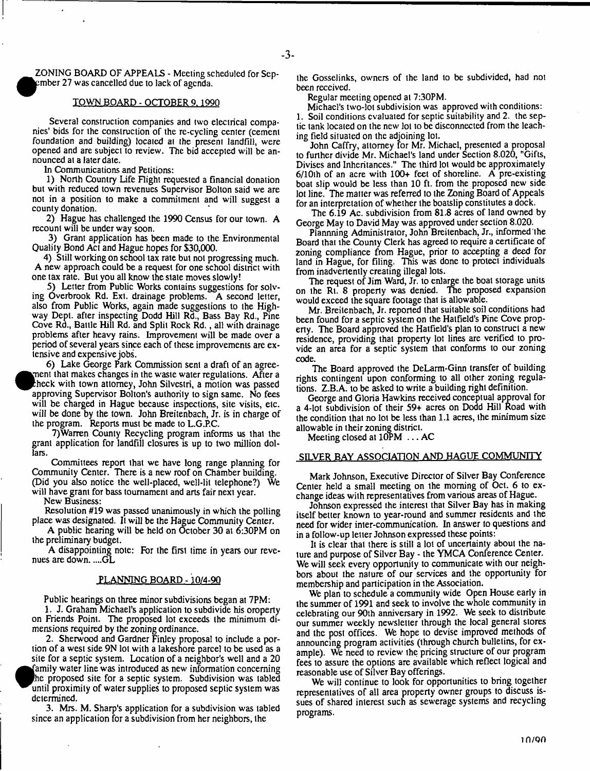ZONING BOARD OF APPEALS - Meeting scheduled for Sep- $\rho$ mber 27 was cancelled due to lack of agenda.

#### TOWN BOARD - OCTOBER 9, 1990

Several construction companies and two electrical companies' bids for the construction of the re-cycling center (cement foundation and building) located at the present landfill, were opened and are subject to review. The bid accepted will be announced at a later date.

In Communications and Petitions:

1) North Country Life Flight requested a financial donation but with reduced town revenues Supervisor Bolton said we are not in a position to make a commitment and will suggest a county donation.

2) Hague has challenged the 1990 Census for our town. A recount will be under way soon.

3) Grant application has been made to the Environmental Quality Bond Act and Hague hopes for \$30,000.

4) Still working on school tax rate but not progressing much. A new approach could be a request for one school district with one tax rate. But you all know the state moves slowly!

5) Letter from Public Works contains suggestions for solving Overbrook Rd. Ext. drainage problems. A second letter, also from Public Works, again made suggestions to the Highway Dept, after inspecting Dodd Hill Rd., Bass Bay Rd., Pine Cove Rd., Battle Hill Rd. and Split Rock Rd., all with drainage problems after heavy rains. Improvement will be made over a period of several years since each of these improvements are extensive and expensive jobs.

6) Lake George Park Commission sent a draft of an agree ment that makes changes in the waste water regulations. After a theck with town attorney, John Silvestri, a motion was passed approving Supervisor Bolton's authority to sign same. No fees will be charged in Hague because inspections, site visits, etc. will be done by the town. John Breitenbach, Jr. is in charge of the program. Reports must be made to L.G.P.C.

7)Warren County Recycling program informs us that the grant application for landfill closures is up to two million dollars.

Committees report that we have long range planning for Community Center. There is a new roof on Chamber building. (Did you also notice the well-placed, well-lit telephone?) We will have grant for bass tournament and arts fair next year.

New Business:

Resolution #19 was passed unanimously in which the polling place was designated. It will be the Hague Community Center.

A public hearing will be held on October 30 at 6:30PM on the preliminary budget.

A disappointing note: For the first time in years our revenues are down. ....GL

#### PLANNING BOARD - 10/4-90

Public hearings on three minor subdivisions began at 7PM:

1. J. Graham Michael's application to subdivide his oroperty on Friends Point. The proposed lot exceeds the minimum dimensions required by the zoning ordinance.

2. Sherwood and Gardner Finley proposal to include a portion of a west side 9N lot with a lakeshore parcel to be used as a site for a septic system. Location of a neighbor's well and a 20 family water line was introduced as new information concerning he proposed site for a septic system. Subdivision was tabled until proximity of water supplies to proposed septic system was determined.

3. Mrs. M. Sharp's application for a subdivision was tabled since an application for a subdivision from her neighbors, the

the Gosselinks, owners of the land to be subdivided, had not been received.

Regular meeting opened at 7:30PM.

Michael's two-lot subdivision was approved with conditions: 1. Soil conditions evaluated for septic suitability and 2. the septic tank located on the new lot to be disconnected from the leaching field situated on the adjoining lot.

John Caffry, attorney for Mr. Michael, presented a proposal to further divide Mr. Michael's land under Section 8.020, "Gifts, Divises and Inheritances." The third lot would be approximately 6/lOth of an acre with 100+ feet of shoreline. A pre-existing boat slip would be less than 10 ft. from the proposed new side lot line. The matter was referred to the Zoning Board of Appeals for an interpretation of whether the boatslip constitutes a dock.

The 6.19 Ac. subdivision from 81.8 acres of land owned by George May to David May was approved under section 8.020.

Plannning Administrator, John Breitenbach, Jr., informed'the Board that the County Clerk has agreed to require a certificate of zoning compliance from Hague, prior to accepting a deed for land in Hague, for filing. This was done to protect individuals from inadvertently creating illegal lots.

The request of Jim Ward, Jr. to enlarge the boat storage units on the Rt. 8 property was denied. The proposed expansion would exceed the square footage thal is allowable.

Mr. Breitenbach, Jr. reported that suitable soil conditions had been found for a septic system on the Hatfield's Pine Cove property. The Board approved the Hatfield's plan to construct a new residence, providing that property lot lines are verified to provide an area for a septic system that conforms to our zoning code.

The Board approved the DeLarm-Ginn transfer of building rights contingent upon conforming to all other zoning regulations. Z.B.A. to be asked to write a building right definition.

George and Gloria Hawkins received conceptual approval for a 4-lot subdivision of their 59+ acres on Dodd Hill Koad with the condition that no lot be less than 1.1 acres, the minimum size allowable in their zoning district.

Meeting closed at 10PM . . . AC

#### SILVER BAY ASSOCIATION AND HAGUE COMMUNITY

Mark Johnson, Executive Director of Silver Bay Conference Center held a small meeting on the morning of Oct. 6 to exchange ideas with representatives from various areas of Hague.

Johnson expressed the interest that Silver Bay has in making itself better known to year-round and summer residents and the need for wider inter-communication. In answer to questions and in a follow-up letter Johnson expressed these points:

It is clear that there is still a lot of uncertainty about the nature and purpose of Silver Bay - the YMCA Conference Center. We will seek every opportunity to communicate with our neighbors about the nature of our services and the opportunity for membership and participation in the Association.

We plan to schedule a community wide Open House early in the summer of 1991 and seek to involve the whole community in celebrating our 90th anniversary in 1992. We seek to distribute our summer weekly newsletter through the local general stores and the post offices. We hope to devise improved methods of announcing program activities (through church bulletins, for example). We need to review the pricing structure of our program fees to assure the options are available which reflect logical and reasonable use of Silver Bay offerings.

We will continue to look for opportunities to bring together representatives of all area property owner groups to discuss issues of shared interest such as sewerage systems and recycling programs.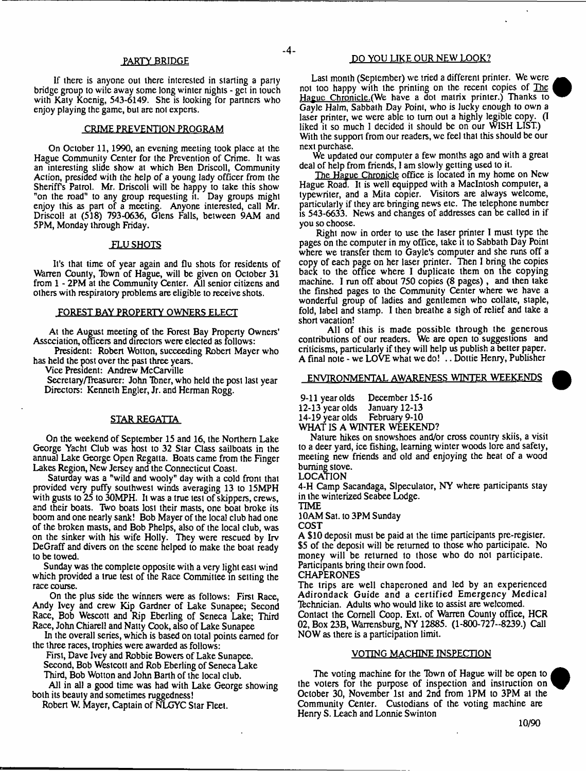#### PARTY BRIDGE

If there is anyone out there interested in starting a parly bridge group to wile away some long winter nights - get in touch with Katy Koenig, 543-6149. She is looking for partners who enjoy playing the game, but are not experts.

#### CRIME PREVENTION PROGRAM

On October 11,1990, an evening meeting took place at the Hague Community Center for the Prevention of Crime. It was an interesting slide show at which Ben Driscoll, Community Action, presided with the help of a young lady officer from the Sheriffs Patrol. Mr. Driscoll will be happy to take this show "on the road" to any group requesting it. Day groups might enjoy this as part of a meeting. Anyone interested, call Mr. Driscoll at (518) 793-0636, Glens Falls, between 9AM and 5PM, Monday through Friday.

#### FLU SHOTS

It's that time of year again and Du shots for residents of Warren County, Town of Hague, will be given on October 31 from 1 - 2PM at the Community Center. All senior citizens and others with respiratory problems are eligible to receive shots.

#### FOREST BAY PROPERTY OWNERS ELECT

At the August meeting of the Forest Bay Property Owners' Association, officers and directors were elected as follows:

President: Robert Wotton, succeeding Robert Mayer who has held the post over the past three years.

Vice President: Andrew McCarville

Secretary/Treasurer: John Tbner, who held the post last year Directors: Kenneth Engler, Jr. and Herman Rogg.

#### STAR REGATTA

On the weekend of September 15 and 16, the Northern Lake George Yacht Club was host to 32 Star Class sailboats in the annual Lake George Open Regatta. Boats came from the Finger Lakes Region, New Jersey and the Connecticut Coast.

Saturday was a "wild and wooly" day with a cold front that provided very puffy southwest winds averaging 13 to 15MPH with gusts to  $25$  to  $30MPH$ . It was a true test of skippers, crews, and their boats. Two boats lost their masts, one boat broke its boom and one nearly sank! Bob Mayer of the local club had one of the broken masts, and Bob Phelps, also of the local club, was on the sinker with his wife Holly. They were rescued by Irv DeGraff and divers on the scene helped to make the boat ready to be towed.

Sunday was the complete opposite with a very light east wind which provided a true test of the Race Committee in setting the race course.

On the plus side the winners were as follows: First Race, Andy Ivey and crew Kip Gardner of Lake Sunapee; Second Race, Bob Wescott and Rip Eberling of Seneca Lake; Third Race, John Chiarell and Natty Cook, also of Lake Sunapee

In the overall series, which is based on total points earned for the three races, trophies were awarded as follows:

First, Dave Ivey and Robbie Bowers of Lake Sunapee.

Second, Bob Westcott and Rob Eberling of Seneca Lake Third, Bob Wotton and John Barth of the local club.

All in all a good time was had with Lake George showing both its beauty and sometimes ruggedness!

Robert W. Mayer, Captain of NLGYC Star Fleet.

#### DO YOU LIKE OUR NEW LOOK?

Last month (September) we tried a different printer. We were not too happy with the printing on the recent copies of The Hague Chronicle .(We have a dot matrix printer.) Thanks to Gayle Halm, Sabbath Day Point, who is lucky enough to own a laser printer, we were able to turn out a highly legible copy. (I liked it so much I decided it should be on our WISH LIST.) With the support from our readers, we feel that this should be our next purchase.

We updated our computer a few months ago and with a great deal of help from friends, I am slowly getting used to it.

The Hague Chronicle office is located in my home on New Hague Road. It is well equipped with a Macintosh computer, a typewriter, and a Mita copier. Visitors are always welcome, particularly if they are bringing news etc. The telephone number is 543-6633. News and changes of addresses can be called in if you so choose.

Right now in order to use the laser printer I must type the pages on the computer in my office, take it to Sabbath Day Point where we transfer them to Gayle's computer and she runs off a copy of each page on her laser printer. Then I bring the copies back to the office where I duplicate them on the copying machine. I run off about 750 copies (8 pages), and then take the finshed pages to the Community Center where we have a wonderful group of ladies and gentlemen who collate, staple, fold, label and stamp. I then breathe a sigh of relief and take a short vacation!

All of this is made possible through the generous contributions of our readers. We are open to suggestions and criticisms, particularly if they will help us publish a better paper. A final note - we LOvE what we do! .. Dottie Henry, Publisher

## ENVIRONMENTAL AWARENESS WINTER WEEKENDS

9-11 year olds December 15-16<br>12-13 year olds January 12-13 12-13 year olds January 12-13  $14-19$  year olds

WHAT IS A WINTER WEEKEND?

Nature hikes on snowshoes and/or cross country skiis, a visit to a deer yard, ice fishing, learning winter woods lore and safety, meeting new friends and old and enjoying the heat of a wood burning stove.

LOCATION

4-H Camp Sacandaga, Slpeculator, NY where participants stay in the winterized Seabee Lodge.

TIME

10AM Sat. to 3PM Sunday

COST

A \$10 deposit must be paid at the time participants pre-register. \$5 of the deposit will be returned to those who participate. No money will be returned to those who do not participate. Participants bring their own food.

CHAPERONES

The trips are well chaperoned and led by an experienced Adirondack Guide and a certified Emergency Medical Technician. Adults who would like to assist are welcomed.

Contact the Cornell Coop. Ext. of Warren County office, HCR 02, Box 23B, Wanensburg, NY 12885. (1-800-727-8239.) Call NOW as there is a participation limit.

### VOTING MACHINE INSPECTION

The voting machine for the Town of Hague will be open to the voters for the purpose of inspection and instruction on October 30, November 1st and 2nd from 1PM to 3PM at the Community Center. Custodians of the voting machine are Henry S. Leach and Lonnie Swinton



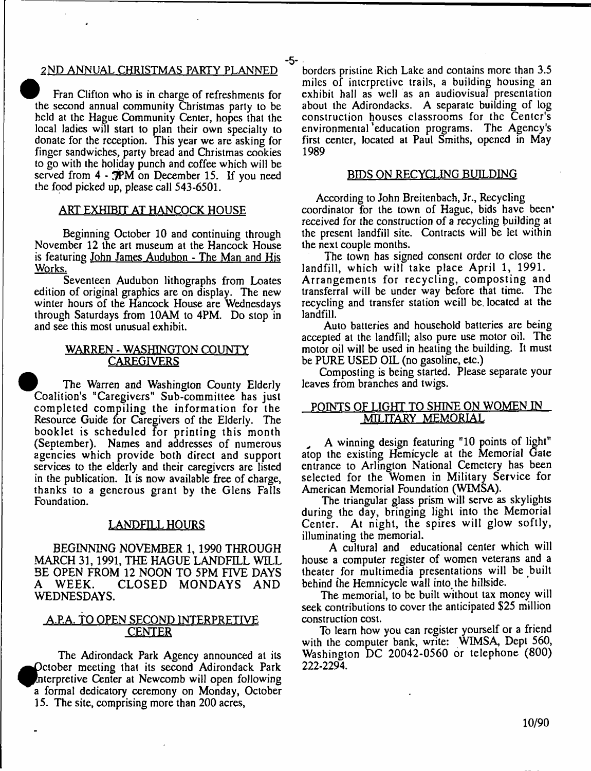# 2ND ANNUAL CHRISTMAS PARTY PLANNED

Fran Clifton who is in charge of refreshments for the second annual community Christmas party to be held at the Hague Community Center, hopes that the local ladies will start to plan their own specialty to donate for the reception. This year we are asking for finger sandwiches, party bread and Christmas cookies to go with the holiday punch and coffee which will be served from 4 - 3PM on December 15. If you need the food picked up, please call 543-6501.

# <u>ART EXHIBIT AT HANCOCK HOUSE</u>

Beginning October 10 and continuing through November 12 the art museum at the Hancock House is featuring John James Audubon - The Man and His Works.

Seventeen Audubon lithographs from Loates edition of original graphics are on display. The new winter hours of the Hancock House are Wednesdays through Saturdays from 10AM to 4PM. Do stop in and see this most unusual exhibit.

# WARREN - WASHINGTON COUNTY **CAREGIVERS**

The Warren and Washington County Elderly Coalition's "Caregivers" Sub-committee has just completed compiling the information for the Resource Guide for Caregivers of the Elderly. The booklet is scheduled for printing this month (September). Names and addresses of numerous agencies which provide both direct and support services to the elderly and their caregivers are listed in the publication. It is now available free of charge, thanks to a generous grant by the Glens Falls Foundation.

# LANDFILL HOURS

BEGINNING NOVEMBER 1, 1990 THROUGH MARCH 31,1991, THE HAGUE LANDFILL WILL BE OPEN FROM 12 NOON TO 5PM FIVE DAYS<br>A WEEK. CLOSED MONDAYS AND A WEEK. CLOSED MONDAYS AND WEDNESDAYS.

# A.P.A. TO OPEN SECOND INTERPRETIVE **CENTER**

The Adirondack Park Agency announced at its Petober meeting that its second Adirondack Park Interpretive Center at Newcomb will open following a formal dedicatory ceremony on Monday, October 15. The site, comprising more than 200 acres,

borders pristine Rich Lake and contains more than 3.5 miles of interpretive trails, a building housing an exhibit hall as well as an audiovisual presentation about the Adirondacks. A separate building of log construction houses classrooms for the Center's environmental 'education programs. The Agency's first center, located at Paul Smiths, opened in May 1989

### BIDS ON RECYCLING BUILDING

According to John Breitenbach, Jr., Recycling coordinator for the town of Hague, bids have been\* received for the construction of a recycling building at the present landfill site. Contracts will be let within the next couple months.

The town has signed consent order to close the landfill, which will take place April 1, 1991. Arrangements for recycling, composting and transferral will be under way before that time. The recycling and transfer station weill be. located at the landfill.

Auto batteries and household batteries are being accepted at the landfill; also pure use motor oil. The motor oil will be used in heating the building. It must be PURE USED OIL (no gasoline, etc.)

Composting is being started. Please separate your leaves from branches and twigs.

# POINTS OF LIGHT TO SHINE ON WOMEN IN MILITARY MEMORIAL

A winning design featuring "10 points of light" atop the existing Hemicycle at the Memorial Gate entrance to Arlington National Cemetery has been selected for the Women in Military Service for American Memorial Foundation (WIMSA).

The triangular glass prism will serve as skylights during the day, bringing light into the Memorial Center. At night, the spires will glow softly, illuminating the memorial.

A cultural and educational center which will house a computer register of women veterans and a theater for multimedia presentations will be built behind the Hemnicycle wall into the hillside.

The memorial, to be built without tax money will seek contributions to cover the anticipated \$25 million construction cost.

To learn how you can register yourself or a friend with the computer bank, write: WIMSA, Dept 560, Washington DC 20042-0560 or telephone (800) 222-2294.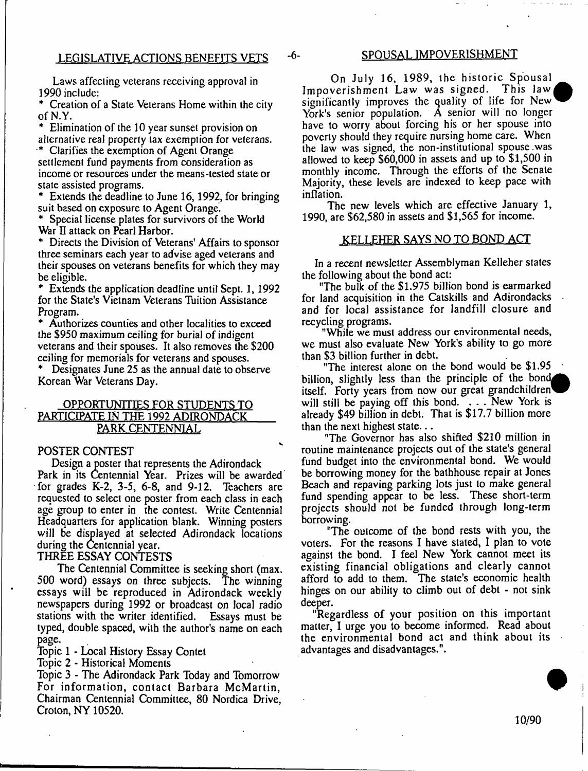# LEGISLATIVE ACTIONS BENEFITS VETS -6- SPOUSAL IMPOVERISHMENT

Laws affecting veterans receiving approval in 1990 include:

\* Creation of a State Veterans Home within the city of N.Y.

\* Elimination of the 10 year sunset provision on alternative real property tax exemption for veterans.

\* Clarifies the exemption of Agent Orange settlement fund payments from consideration as income or resources under the means-tested state or state assisted programs.

\* Extends the deadline to June 16,1992, for bringing suit based on exposure to Agent Orange.

Special license plates for survivors of the World War II attack on Pearl Harbor.

Directs the Division of Veterans' Affairs to sponsor three seminars each year to advise aged veterans and their spouses on veterans benefits for which they may be eligible.

\* Extends the application deadline until Sept. 1,1992 for the State's Vietnam Veterans Tuition Assistance Program.

\* Authorizes counties and other localities to exceed the \$950 maximum ceiling for burial of indigent veterans and their spouses. It also removes the \$200 ceiling for memorials for veterans and spouses.

\* Designates June 25 as the annual date to observe Korean War Veterans Day.

# OPPORTUNITIES FOR STUDENTS TO PARTICIPATE IN THE 1992 ADIRONDACK PARK CENTENNIAL

# POSTER CONTEST

Design a poster that represents the Adirondack Park in its Centennial Year. Prizes will be awarded for grades K-2, 3-5, 6-8, and 9-12. Teachers are requested to select one poster from each class in each age group to enter in the contest. Write Centennial Headquarters for application blank. Winning posters will be displayed at selected Adirondack locations during the Centennial year.

# THREE ESSAY CONTESTS

The Centennial Committee is seeking short (max. 500 word) essays on three subjects. The winning essays will be reproduced in Adirondack weekly newspapers during 1992 or broadcast on local radio stations with the writer identified. Essays must be typed, double spaced, with the author's name on each page.

Topic 1 - Local History Essay Contet

Topic 2 - Historical Moments

Topic 3 - The Adirondack Park Today and Tomorrow For information, contact Barbara McMartin, Chairman Centennial Committee, 80 Nordica Drive, Croton, NY 10520.

On July 16, 1989, the historic Spousal Impoverishment Law was signed. This law significantly improves the quality of life for New York's senior population. A senior will no longer have to worry about forcing his or her spouse into poverty should they require nursing home care. When the law was signed, the non-institutional spouse .was allowed to keep \$60,000 in assets and up to \$1,500 in monthly income. Through the efforts of the Senate Majority, these levels are indexed to keep pace with inflation.

The new levels which are effective January 1, 1990, are \$62,580 in assets and \$1,565 for income.

# KELLEHER SAYS NO TO BOND ACT

In a recent newsletter Assemblyman Kelleher states the following about the bond act:

"The bulk of the \$1,975 billion bond is earmarked for land acquisition in the Catskills and Adirondacks and for local assistance for landfill closure and recycling programs.

"While we must address our environmental needs, we must also evaluate New York's ability to go more than \$3 billion further in debt.

"The interest alone on the bond would be \$1.95 billion, slightly less than the principle of the bond itself. Forty years from now our great grandchildren will still be paying off this bond. . . . New York is already \$49 billion in debt. That is \$17.7 billion more than the next highest state...

"The Governor has also shifted \$210 million in routine maintenance projects out of the state's general fund budget into the environmental bond. We would be borrowing money for the bathhouse repair at Jones Beach and repaving parking lots just to make general fund spending appear to be less. These short-term projects should not be funded through long-term borrowing.

"The outcome of the bond rests with you, the voters. For the reasons I have stated, I plan to vote against the bond. I feel New York cannot meet its existing financial obligations and clearly cannot afford to add to them. The state's economic health hinges on our ability to climb out of debt - not sink deeper.

"Regardless of your position on this important matter, I urge you to become informed. Read about the environmental bond act and think about its advantages and disadvantages.".

10/90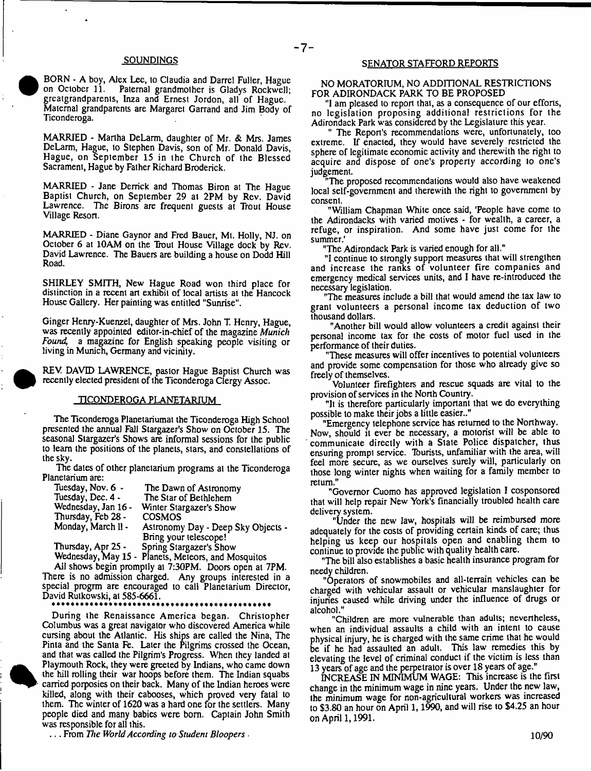## SOUNDINGS



MARRIED - Martha DeLarm, daughter of Mr. & Mrs. James DeLarm, Hague, to Stephen Davis, son of Mr. Donald Davis, Hague, on September 15 in the Church of the Blessed Sacrament, Hague by Father Richard Broderick.

MARRIED - Jane Derrick and Thomas Biron at The Hague Baptist Church, on September 29 at 2PM by Rev. David Lawrence. The Birons are frequent guests at Trout House Village Resort.

MARRIED - Diane Gaynor and Fred Bauer, Mt. Holly, NJ. on October 6 at 10AM on the Trout House Village dock by Rev. David Lawrence. The Bauers are building a house on Dodd Hill Road.

SHIRLEY SMITH, New Hague Road won third place for distinction in a recent art exhibit of local artists at the Hancock House Gallery. Her painting was entitled "Sunrise".

Ginger Henry-Kuenzel, daughter of Mrs. John T. Henry, Hague, was recently appointed editor-in-chief of the magazine *Munich Found,* a magazine for English speaking people visiting or living in Munich, Germany and vicinity.

REV. DAVID LAWRENCE, pastor Hague Baptist Church was recently elected president of the Ticonderoga Clergy Assoc.

#### TICONDEROGA PLANETARIUM

The Ticonderoga Planetariumat the Ticonderoga High School presented the annual Fall Stargazer's Show on October 15. The seasonal Stargazer's Shows are informal sessions for the public to learn the positions of the planets, stars, and constellations of the sky.

The dales of other planetarium programs at the Ticonderoga Planetarium are:

| Tuesday, Nov. 6 -   | The Dawn of Astronomy              |
|---------------------|------------------------------------|
| Tuesday, Dec. 4 -   | The Star of Bethlehem              |
| Wednesday, Jan 16 - | Winter Stargazer's Show            |
| Thursday, Feb 28 -  | <b>COSMOS</b>                      |
| Monday, March II -  | Astronomy Day - Deep Sky Objects - |
|                     | Bring your telescope!              |
| Thursday, Apr 25 -  | Spring Stargazer's Show            |

Wednesday, May 15 - Planets, Meteors, and Mosquitos

All shows begin promptly at 7:30PM. Doors open at 7PM. There is no admission charged. Any groups interested in a special progrm are encouraged to call Planetarium Director, David Rutkowski, at 585-6661.

During the Renaissance America began. Christopher Columbus was a great navigator who discovered America while cursing about the Atlantic. His ships are called the Nina, The Pinta and the Santa Fe. Later the Pilgrims crossed the Ocean, and that was called the Pilgrim's Progress. When they landed at Playmouth Rock, they were greeted by Indians, who came down the hill rolling their war hoops before them. The Indian squabs carried porposies on their back. Many of the Indian heroes were killed, along with their cabooses, which proved very fatal to them. The winter of 1620 was a hard one for the settlers. Many people died and many babies were bom. Captain John Smith was responsible for all this.

. . . From *The World According to Student Bloopers ■*

#### SENATOR STAFFORD REPORTS

NO MORATORIUM, NO ADDITIONAL RESTRICTIONS FOR ADIRONDACK PARK TO BE PROPOSED

"I am pleased to report that, as a consequence of our efforts, no legislation proposing additional restrictions for the Adirondack Park was considered by the Legislature this year.

" The Report's recommendations were, unfortunately, too extreme. If enacted, they would have severely restricted the sphere of legitimate economic activity and therewith the right to acquire and dispose of one's property according to one's judgement.

The proposed recommendations would also have weakened local self-government and therewith the right to government by consent.

"William Chapman White once said, 'People have come to the Adirondacks with varied motives - for wealth, a career, a refuge, or inspiration. And some have just come for the summer.'

"The Adirondack Park is varied enough for all."

"I continue to strongly support measures that will strengthen and increase the ranks of volunteer fire companies and emergency medical services units, and I have re-introduced the necessary legislation.

"The measures include a bill that would amend the tax law to grant volunteers a personal income tax deduction of two thousand dollars.

"Another bill would allow volunteers a credit against their personal income tax for the costs of motor fuel used in the performance of their duties.

"These measures will offer incentives to potential volunteers and provide some compensation for those who already give so freely of themselves.

Volunteer firefighters and rescue squads are vital to the provision of services in the North Country.

"It is therefore particularly important that we do everything possible to make their jobs a little easier.."

"Emergency telephone service has returned lo the Northway. Now, should it ever be necessary, a motorist will be able to communicate directly with a State Police dispatcher, thus ensuring prompt service. Tburists, unfamiliar with the area, will feel more secure, as we ourselves surely will, particularly on those long winter nights when waiting for a family member to return."

"Governor Cuomo has approved legislation I cosponsored that will help repair New York's financially troubled health care delivery system.

"Under the new law, hospitals will be reimbursed more adequately for the costs of providing certain kinds of care; thus helping us keep our hospitals open and enabling them to continue to provide the public with quality health care.

"The bill also establishes a basic health insurance program for needy children.

"Operators of snowmobiles and all-terrain vehicles can be charged with vehicular assault or vehicular manslaughter for injuries caused while driving under the influence of drugs or alcohol."

"Children are more vulnerable than adults; nevertheless, when an individual assaults a child with an intent to cause physical injury, he is charged with the same crime that he would be if he had assaulted an adult. This law remedies this by elevating the level of criminal conduct if the victim is less than years of age and the perpetrator is over 18 years of age."

INCREASE IN MINIMUM WAGE: This increase is the first change in the minimum wage in nine years. Under the new law, the minimum wage for non-agricultural workers was increased to \$3.80 an hour on April 1,1990, and will rise to \$4.25 an hour on April 1,1991,

10/90